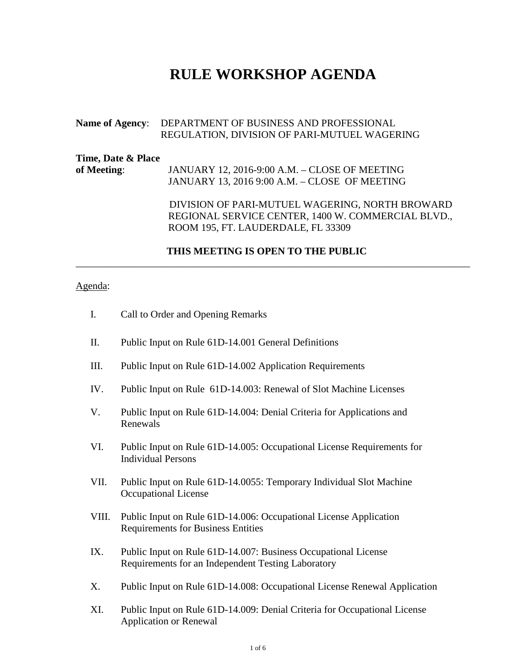# **RULE WORKSHOP AGENDA**

### **Name of Agency**: DEPARTMENT OF BUSINESS AND PROFESSIONAL REGULATION, DIVISION OF PARI-MUTUEL WAGERING

| Time, Date & Place |                                                 |
|--------------------|-------------------------------------------------|
| of Meeting:        | JANUARY 12, 2016-9:00 A.M. – CLOSE OF MEETING   |
|                    | JANUARY 13, 2016 9:00 A.M. – CLOSE OF MEETING   |
|                    | DIVISION OF PARI-MUTUEL WAGERING, NORTH BROWARD |

 REGIONAL SERVICE CENTER, 1400 W. COMMERCIAL BLVD., ROOM 195, FT. LAUDERDALE, FL 33309

#### **THIS MEETING IS OPEN TO THE PUBLIC**

\_\_\_\_\_\_\_\_\_\_\_\_\_\_\_\_\_\_\_\_\_\_\_\_\_\_\_\_\_\_\_\_\_\_\_\_\_\_\_\_\_\_\_\_\_\_\_\_\_\_\_\_\_\_\_\_\_\_\_\_\_\_\_\_\_\_\_\_\_\_\_\_\_\_\_\_\_\_

#### Agenda:

- I. Call to Order and Opening Remarks
- II. Public Input on Rule 61D-14.001 General Definitions
- III. Public Input on Rule 61D-14.002 Application Requirements
- IV. Public Input on Rule [61D-14.003:](https://www.flrules.org/gateway/ruleNo.asp?id=61D-14.003) Renewal of Slot Machine Licenses
- V. Public Input on Rule [61D-14.004:](https://www.flrules.org/gateway/ruleNo.asp?id=61D-14.004) Denial Criteria for Applications and Renewals
- VI. Public Input on Rule [61D-14.005:](https://www.flrules.org/gateway/ruleNo.asp?id=61D-14.005) Occupational License Requirements for Individual Persons
- VII. Public Input on Rule [61D-14.0055:](https://www.flrules.org/gateway/ruleNo.asp?id=61D-14.0055) Temporary Individual Slot Machine Occupational License
- VIII. Public Input on Rule [61D-14.006:](https://www.flrules.org/gateway/ruleNo.asp?id=61D-14.006) Occupational License Application Requirements for Business Entities
- IX. Public Input on Rule [61D-14.007:](https://www.flrules.org/gateway/ruleNo.asp?id=61D-14.007) Business Occupational License Requirements for an Independent Testing Laboratory
- X. Public Input on Rule [61D-14.008:](https://www.flrules.org/gateway/ruleNo.asp?id=61D-14.008) Occupational License Renewal Application
- XI. Public Input on Rule [61D-14.009:](https://www.flrules.org/gateway/ruleNo.asp?id=61D-14.009) Denial Criteria for Occupational License Application or Renewal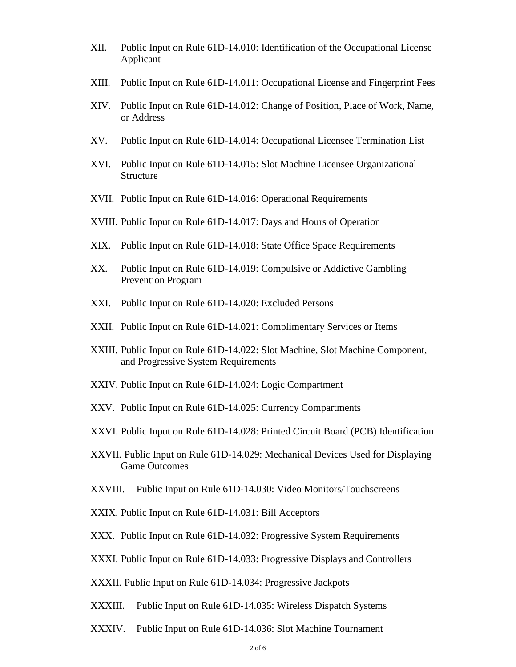- XII. Public Input on Rule [61D-14.010:](https://www.flrules.org/gateway/ruleNo.asp?id=61D-14.010) Identification of the Occupational License Applicant
- XIII. Public Input on Rule [61D-14.011:](https://www.flrules.org/gateway/ruleNo.asp?id=61D-14.011) Occupational License and Fingerprint Fees
- XIV. Public Input on Rule [61D-14.012:](https://www.flrules.org/gateway/ruleNo.asp?id=61D-14.012) Change of Position, Place of Work, Name, or Address
- XV. Public Input on Rule [61D-14.014:](https://www.flrules.org/gateway/ruleNo.asp?id=61D-14.014) Occupational Licensee Termination List
- XVI. Public Input on Rule [61D-14.015:](https://www.flrules.org/gateway/ruleNo.asp?id=61D-14.015) Slot Machine Licensee Organizational Structure
- XVII. Public Input on Rule [61D-14.016:](https://www.flrules.org/gateway/ruleNo.asp?id=61D-14.016) Operational Requirements
- XVIII. Public Input on Rule [61D-14.017:](https://www.flrules.org/gateway/ruleNo.asp?id=61D-14.017) Days and Hours of Operation
- XIX. Public Input on Rule [61D-14.018:](https://www.flrules.org/gateway/ruleNo.asp?id=61D-14.018) State Office Space Requirements
- XX. Public Input on Rule [61D-14.019:](https://www.flrules.org/gateway/ruleNo.asp?id=61D-14.019) Compulsive or Addictive Gambling Prevention Program
- XXI. Public Input on Rule [61D-14.020:](https://www.flrules.org/gateway/ruleNo.asp?id=61D-14.020) Excluded Persons
- XXII. Public Input on Rule [61D-14.021:](https://www.flrules.org/gateway/ruleNo.asp?id=61D-14.021) Complimentary Services or Items
- XXIII. Public Input on Rule [61D-14.022:](https://www.flrules.org/gateway/ruleNo.asp?id=61D-14.022) Slot Machine, Slot Machine Component, and Progressive System Requirements
- XXIV. Public Input on Rule [61D-14.024:](https://www.flrules.org/gateway/ruleNo.asp?id=61D-14.024) Logic Compartment
- XXV. Public Input on Rule [61D-14.025:](https://www.flrules.org/gateway/ruleNo.asp?id=61D-14.025) Currency Compartments
- XXVI. Public Input on Rule [61D-14.028:](https://www.flrules.org/gateway/ruleNo.asp?id=61D-14.028) Printed Circuit Board (PCB) Identification
- XXVII. Public Input on Rule [61D-14.029:](https://www.flrules.org/gateway/ruleNo.asp?id=61D-14.029) Mechanical Devices Used for Displaying Game Outcomes
- XXVIII. Public Input on Rule [61D-14.030:](https://www.flrules.org/gateway/ruleNo.asp?id=61D-14.030) Video Monitors/Touchscreens
- XXIX. Public Input on Rule [61D-14.031:](https://www.flrules.org/gateway/ruleNo.asp?id=61D-14.031) Bill Acceptors
- XXX. Public Input on Rule [61D-14.032:](https://www.flrules.org/gateway/ruleNo.asp?id=61D-14.032) Progressive System Requirements
- XXXI. Public Input on Rule [61D-14.033:](https://www.flrules.org/gateway/ruleNo.asp?id=61D-14.033) Progressive Displays and Controllers
- XXXII. Public Input on Rule [61D-14.034:](https://www.flrules.org/gateway/ruleNo.asp?id=61D-14.034) Progressive Jackpots
- XXXIII. Public Input on Rule [61D-14.035:](https://www.flrules.org/gateway/ruleNo.asp?id=61D-14.035) Wireless Dispatch Systems
- XXXIV. Public Input on Rule [61D-14.036:](https://www.flrules.org/gateway/ruleNo.asp?id=61D-14.036) Slot Machine Tournament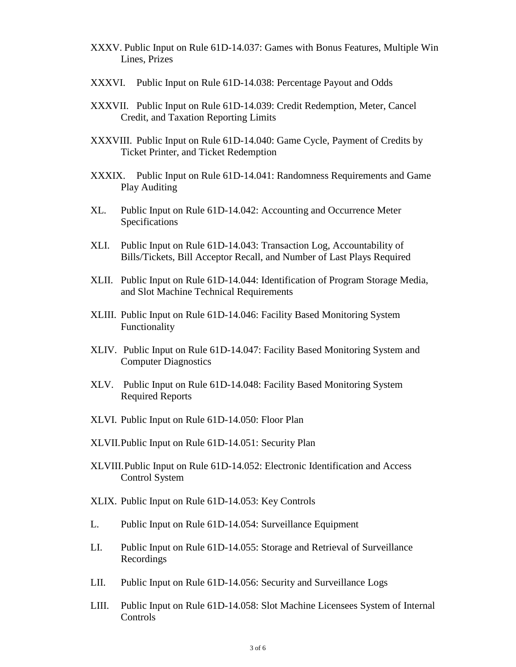- XXXV. Public Input on Rule [61D-14.037:](https://www.flrules.org/gateway/ruleNo.asp?id=61D-14.037) Games with Bonus Features, Multiple Win Lines, Prizes
- XXXVI. Public Input on Rule [61D-14.038:](https://www.flrules.org/gateway/ruleNo.asp?id=61D-14.038) Percentage Payout and Odds
- XXXVII. Public Input on Rule [61D-14.039:](https://www.flrules.org/gateway/ruleNo.asp?id=61D-14.039) Credit Redemption, Meter, Cancel Credit, and Taxation Reporting Limits
- XXXVIII. Public Input on Rule [61D-14.040:](https://www.flrules.org/gateway/ruleNo.asp?id=61D-14.040) Game Cycle, Payment of Credits by Ticket Printer, and Ticket Redemption
- XXXIX. Public Input on Rule [61D-14.041:](https://www.flrules.org/gateway/ruleNo.asp?id=61D-14.041) Randomness Requirements and Game Play Auditing
- XL. Public Input on Rule [61D-14.042:](https://www.flrules.org/gateway/ruleNo.asp?id=61D-14.042) Accounting and Occurrence Meter Specifications
- XLI. Public Input on Rule [61D-14.043:](https://www.flrules.org/gateway/ruleNo.asp?id=61D-14.043) Transaction Log, Accountability of Bills/Tickets, Bill Acceptor Recall, and Number of Last Plays Required
- XLII. Public Input on Rule [61D-14.044:](https://www.flrules.org/gateway/ruleNo.asp?id=61D-14.044) Identification of Program Storage Media, and Slot Machine Technical Requirements
- XLIII. Public Input on Rule [61D-14.046:](https://www.flrules.org/gateway/ruleNo.asp?id=61D-14.046) Facility Based Monitoring System Functionality
- XLIV. Public Input on Rule [61D-14.047:](https://www.flrules.org/gateway/ruleNo.asp?id=61D-14.047) Facility Based Monitoring System and Computer Diagnostics
- XLV. Public Input on Rule [61D-14.048:](https://www.flrules.org/gateway/ruleNo.asp?id=61D-14.048) Facility Based Monitoring System Required Reports
- XLVI. Public Input on Rule [61D-14.050:](https://www.flrules.org/gateway/ruleNo.asp?id=61D-14.050) Floor Plan
- XLVII.Public Input on Rule [61D-14.051:](https://www.flrules.org/gateway/ruleNo.asp?id=61D-14.051) Security Plan
- XLVIII.Public Input on Rule [61D-14.052:](https://www.flrules.org/gateway/ruleNo.asp?id=61D-14.052) Electronic Identification and Access Control System
- XLIX. Public Input on Rule [61D-14.053:](https://www.flrules.org/gateway/ruleNo.asp?id=61D-14.053) Key Controls
- L. Public Input on Rule [61D-14.054:](https://www.flrules.org/gateway/ruleNo.asp?id=61D-14.054) Surveillance Equipment
- LI. Public Input on Rule [61D-14.055:](https://www.flrules.org/gateway/ruleNo.asp?id=61D-14.055) Storage and Retrieval of Surveillance Recordings
- LII. Public Input on Rule [61D-14.056:](https://www.flrules.org/gateway/ruleNo.asp?id=61D-14.056) Security and Surveillance Logs
- LIII. Public Input on Rule [61D-14.058:](https://www.flrules.org/gateway/ruleNo.asp?id=61D-14.058) Slot Machine Licensees System of Internal Controls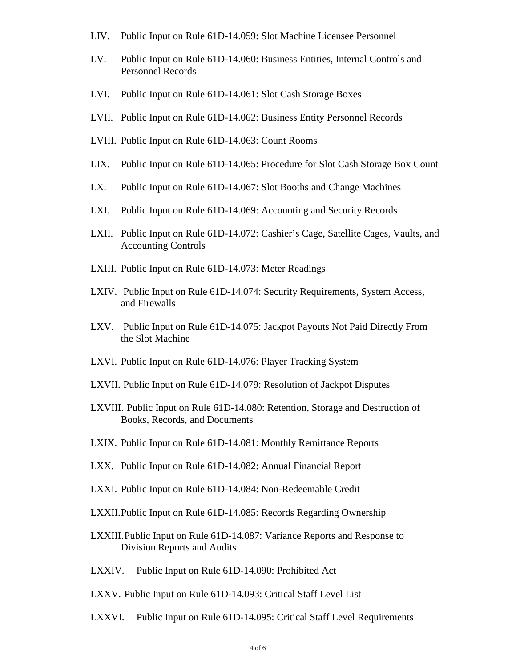- LIV. Public Input on Rule [61D-14.059:](https://www.flrules.org/gateway/ruleNo.asp?id=61D-14.059) Slot Machine Licensee Personnel
- LV. Public Input on Rule [61D-14.060:](https://www.flrules.org/gateway/ruleNo.asp?id=61D-14.060) Business Entities, Internal Controls and Personnel Records
- LVI. Public Input on Rule [61D-14.061:](https://www.flrules.org/gateway/ruleNo.asp?id=61D-14.061) Slot Cash Storage Boxes
- LVII. Public Input on Rule [61D-14.062:](https://www.flrules.org/gateway/ruleNo.asp?id=61D-14.062) Business Entity Personnel Records
- LVIII. Public Input on Rule [61D-14.063:](https://www.flrules.org/gateway/ruleNo.asp?id=61D-14.063) Count Rooms
- LIX. Public Input on Rule [61D-14.065:](https://www.flrules.org/gateway/ruleNo.asp?id=61D-14.065) Procedure for Slot Cash Storage Box Count
- LX. Public Input on Rule [61D-14.067:](https://www.flrules.org/gateway/ruleNo.asp?id=61D-14.067) Slot Booths and Change Machines
- LXI. Public Input on Rule [61D-14.069:](https://www.flrules.org/gateway/ruleNo.asp?id=61D-14.069) Accounting and Security Records
- LXII. Public Input on Rule [61D-14.072:](https://www.flrules.org/gateway/ruleNo.asp?id=61D-14.072) Cashier's Cage, Satellite Cages, Vaults, and Accounting Controls
- LXIII. Public Input on Rule [61D-14.073:](https://www.flrules.org/gateway/ruleNo.asp?id=61D-14.073) Meter Readings
- LXIV. Public Input on Rule [61D-14.074:](https://www.flrules.org/gateway/ruleNo.asp?id=61D-14.074) Security Requirements, System Access, and Firewalls
- LXV. Public Input on Rule [61D-14.075:](https://www.flrules.org/gateway/ruleNo.asp?id=61D-14.075) Jackpot Payouts Not Paid Directly From the Slot Machine
- LXVI. Public Input on Rule [61D-14.076:](https://www.flrules.org/gateway/ruleNo.asp?id=61D-14.076) Player Tracking System
- LXVII. Public Input on Rule [61D-14.079:](https://www.flrules.org/gateway/ruleNo.asp?id=61D-14.079) Resolution of Jackpot Disputes
- LXVIII. Public Input on Rule [61D-14.080:](https://www.flrules.org/gateway/ruleNo.asp?id=61D-14.080) Retention, Storage and Destruction of Books, Records, and Documents
- LXIX. Public Input on Rule [61D-14.081:](https://www.flrules.org/gateway/ruleNo.asp?id=61D-14.081) Monthly Remittance Reports
- LXX. Public Input on Rule [61D-14.082:](https://www.flrules.org/gateway/ruleNo.asp?id=61D-14.082) Annual Financial Report
- LXXI. Public Input on Rule [61D-14.084:](https://www.flrules.org/gateway/ruleNo.asp?id=61D-14.084) Non-Redeemable Credit
- LXXII.Public Input on Rule [61D-14.085:](https://www.flrules.org/gateway/ruleNo.asp?id=61D-14.085) Records Regarding Ownership
- LXXIII.Public Input on Rule [61D-14.087:](https://www.flrules.org/gateway/ruleNo.asp?id=61D-14.087) Variance Reports and Response to Division Reports and Audits
- LXXIV. Public Input on Rule [61D-14.090:](https://www.flrules.org/gateway/ruleNo.asp?id=61D-14.090) Prohibited Act
- LXXV. Public Input on Rule [61D-14.093:](https://www.flrules.org/gateway/ruleNo.asp?id=61D-14.093) Critical Staff Level List
- LXXVI. Public Input on Rule [61D-14.095:](https://www.flrules.org/gateway/ruleNo.asp?id=61D-14.095) Critical Staff Level Requirements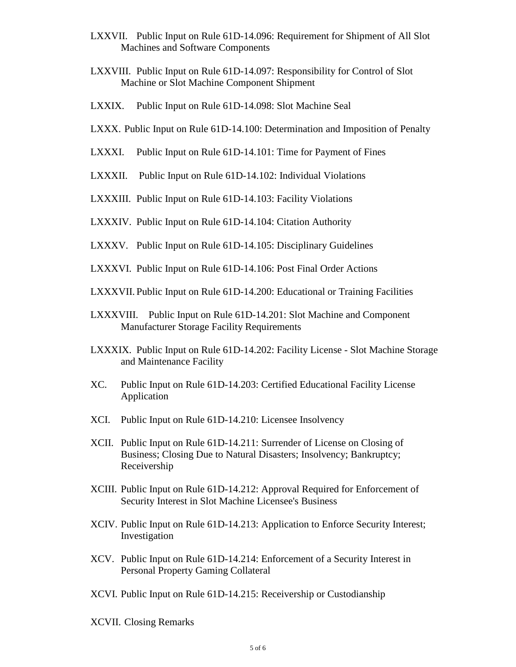- LXXVII. Public Input on Rule [61D-14.096:](https://www.flrules.org/gateway/ruleNo.asp?id=61D-14.096) Requirement for Shipment of All Slot Machines and Software Components
- LXXVIII. Public Input on Rule [61D-14.097:](https://www.flrules.org/gateway/ruleNo.asp?id=61D-14.097) Responsibility for Control of Slot Machine or Slot Machine Component Shipment
- LXXIX. Public Input on Rule [61D-14.098:](https://www.flrules.org/gateway/ruleNo.asp?id=61D-14.098) Slot Machine Seal
- LXXX. Public Input on Rule [61D-14.100:](https://www.flrules.org/gateway/ruleNo.asp?id=61D-14.100) Determination and Imposition of Penalty
- LXXXI. Public Input on Rule [61D-14.101:](https://www.flrules.org/gateway/ruleNo.asp?id=61D-14.101) Time for Payment of Fines
- LXXXII. Public Input on Rule [61D-14.102:](https://www.flrules.org/gateway/ruleNo.asp?id=61D-14.102) Individual Violations
- LXXXIII. Public Input on Rule [61D-14.103:](https://www.flrules.org/gateway/ruleNo.asp?id=61D-14.103) Facility Violations
- LXXXIV. Public Input on Rule [61D-14.104:](https://www.flrules.org/gateway/ruleNo.asp?id=61D-14.104) Citation Authority
- LXXXV. Public Input on Rule [61D-14.105:](https://www.flrules.org/gateway/ruleNo.asp?id=61D-14.105) Disciplinary Guidelines
- LXXXVI. Public Input on Rule [61D-14.106:](https://www.flrules.org/gateway/ruleNo.asp?id=61D-14.106) Post Final Order Actions
- LXXXVII. Public Input on Rule [61D-14.200:](https://www.flrules.org/gateway/ruleNo.asp?id=61D-14.200) Educational or Training Facilities
- LXXXVIII. Public Input on Rule [61D-14.201:](https://www.flrules.org/gateway/ruleNo.asp?id=61D-14.201) Slot Machine and Component Manufacturer Storage Facility Requirements
- LXXXIX. Public Input on Rule [61D-14.202:](https://www.flrules.org/gateway/ruleNo.asp?id=61D-14.202) Facility License Slot Machine Storage and Maintenance Facility
- XC. Public Input on Rule [61D-14.203:](https://www.flrules.org/gateway/ruleNo.asp?id=61D-14.203) Certified Educational Facility License Application
- XCI. Public Input on Rule [61D-14.210:](https://www.flrules.org/gateway/ruleNo.asp?id=61D-14.210) Licensee Insolvency
- XCII. Public Input on Rule [61D-14.211:](https://www.flrules.org/gateway/ruleNo.asp?id=61D-14.211) Surrender of License on Closing of Business; Closing Due to Natural Disasters; Insolvency; Bankruptcy; Receivership
- XCIII. Public Input on Rule [61D-14.212:](https://www.flrules.org/gateway/ruleNo.asp?id=61D-14.212) Approval Required for Enforcement of Security Interest in Slot Machine Licensee's Business
- XCIV. Public Input on Rule [61D-14.213:](https://www.flrules.org/gateway/ruleNo.asp?id=61D-14.213) Application to Enforce Security Interest; Investigation
- XCV. Public Input on Rule [61D-14.214:](https://www.flrules.org/gateway/ruleNo.asp?id=61D-14.214) Enforcement of a Security Interest in Personal Property Gaming Collateral
- XCVI. Public Input on Rule [61D-14.215:](https://www.flrules.org/gateway/ruleNo.asp?id=61D-14.215) Receivership or Custodianship
- XCVII. Closing Remarks